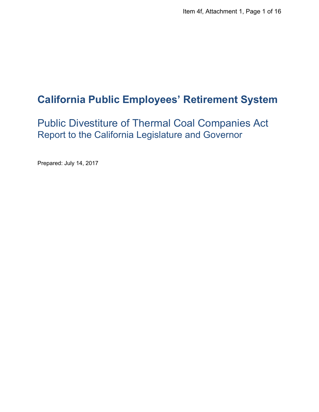# **California Public Employees' Retirement System**

Public Divestiture of Thermal Coal Companies Act Report to the California Legislature and Governor

Prepared: July 14, 2017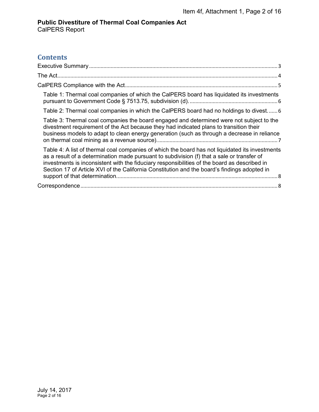## **Contents**

| Item 4f, Attachment 1, Page 2 of 16                                                                                                                                                                                                                                                                                                                                                           |
|-----------------------------------------------------------------------------------------------------------------------------------------------------------------------------------------------------------------------------------------------------------------------------------------------------------------------------------------------------------------------------------------------|
| <b>Public Divestiture of Thermal Coal Companies Act</b>                                                                                                                                                                                                                                                                                                                                       |
| <b>CalPERS Report</b>                                                                                                                                                                                                                                                                                                                                                                         |
|                                                                                                                                                                                                                                                                                                                                                                                               |
| <b>Contents</b>                                                                                                                                                                                                                                                                                                                                                                               |
|                                                                                                                                                                                                                                                                                                                                                                                               |
|                                                                                                                                                                                                                                                                                                                                                                                               |
|                                                                                                                                                                                                                                                                                                                                                                                               |
| Table 1: Thermal coal companies of which the CalPERS board has liquidated its investments                                                                                                                                                                                                                                                                                                     |
| Table 2: Thermal coal companies in which the CalPERS board had no holdings to divest 6                                                                                                                                                                                                                                                                                                        |
| Table 3: Thermal coal companies the board engaged and determined were not subject to the<br>divestment requirement of the Act because they had indicated plans to transition their<br>business models to adapt to clean energy generation (such as through a decrease in reliance                                                                                                             |
| Table 4: A list of thermal coal companies of which the board has not liquidated its investments<br>as a result of a determination made pursuant to subdivision (f) that a sale or transfer of<br>investments is inconsistent with the fiduciary responsibilities of the board as described in<br>Section 17 of Article XVI of the California Constitution and the board's findings adopted in |
|                                                                                                                                                                                                                                                                                                                                                                                               |
|                                                                                                                                                                                                                                                                                                                                                                                               |
| July 14, 2017<br>Page 2 of 16                                                                                                                                                                                                                                                                                                                                                                 |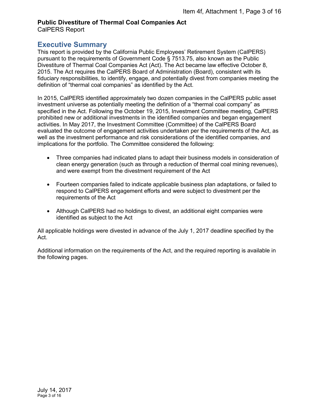#### **Public Divestiture of Thermal Coal Companies Act**  CalPERS Report

## <span id="page-2-0"></span>**Executive Summary**

This report is provided by the California Public Employees' Retirement System (CalPERS) pursuant to the requirements of Government Code § 7513.75, also known as the Public Divestiture of Thermal Coal Companies Act (Act). The Act became law effective October 8, 2015. The Act requires the CalPERS Board of Administration (Board), consistent with its fiduciary responsibilities, to identify, engage, and potentially divest from companies meeting the definition of "thermal coal companies" as identified by the Act.

In 2015, CalPERS identified approximately two dozen companies in the CalPERS public asset investment universe as potentially meeting the definition of a "thermal coal company" as specified in the Act. Following the October 19, 2015, Investment Committee meeting, CalPERS prohibited new or additional investments in the identified companies and began engagement activities. In May 2017, the Investment Committee (Committee) of the CalPERS Board evaluated the outcome of engagement activities undertaken per the requirements of the Act, as well as the investment performance and risk considerations of the identified companies, and implications for the portfolio. The Committee considered the following: Function Distribution of Thermal Coal Companis Act<br>
CalPERS Report<br>
EXECUTIVE SUMMATE SACTION IS A COMPARE TREE CONDITIES ARE<br>
EXECUTIVE SUMMATE TREE CONDITIES ARE<br>
This report is provided by the California Public Employee

- Three companies had indicated plans to adapt their business models in consideration of clean energy generation (such as through a reduction of thermal coal mining revenues), and were exempt from the divestment requirement of the Act
- Fourteen companies failed to indicate applicable business plan adaptations, or failed to respond to CalPERS engagement efforts and were subject to divestment per the requirements of the Act
- Although CalPERS had no holdings to divest, an additional eight companies were identified as subject to the Act

All applicable holdings were divested in advance of the July 1, 2017 deadline specified by the Act.

Additional information on the requirements of the Act, and the required reporting is available in the following pages.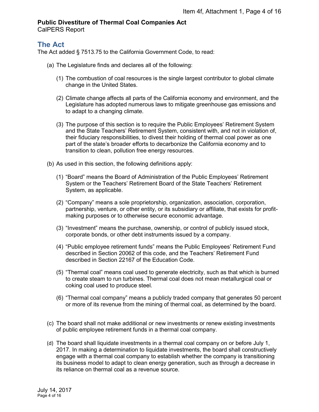## **Public Divestiture of Thermal Coal Companies Act**

CalPERS Report

## <span id="page-3-0"></span>**The Act**

The Act added § 7513.75 to the California Government Code, to read:

- (a) The Legislature finds and declares all of the following:
	- (1) The combustion of coal resources is the single largest contributor to global climate change in the United States.
	- (2) Climate change affects all parts of the California economy and environment, and the Legislature has adopted numerous laws to mitigate greenhouse gas emissions and to adapt to a changing climate.
	- (3) The purpose of this section is to require the Public Employees' Retirement System and the State Teachers' Retirement System, consistent with, and not in violation of, their fiduciary responsibilities, to divest their holding of thermal coal power as one part of the state's broader efforts to decarbonize the California economy and to transition to clean, pollution free energy resources.
- (b) As used in this section, the following definitions apply:
	- (1) "Board" means the Board of Administration of the Public Employees' Retirement System or the Teachers' Retirement Board of the State Teachers' Retirement System, as applicable.
	- (2) "Company" means a sole proprietorship, organization, association, corporation, partnership, venture, or other entity, or its subsidiary or affiliate, that exists for profitmaking purposes or to otherwise secure economic advantage.
	- (3) "Investment" means the purchase, ownership, or control of publicly issued stock, corporate bonds, or other debt instruments issued by a company.
	- (4) "Public employee retirement funds" means the Public Employees' Retirement Fund described in Section 20062 of this code, and the Teachers' Retirement Fund described in Section 22167 of the Education Code.
	- (5) "Thermal coal" means coal used to generate electricity, such as that which is burned to create steam to run turbines. Thermal coal does not mean metallurgical coal or coking coal used to produce steel.
	- (6) "Thermal coal company" means a publicly traded company that generates 50 percent or more of its revenue from the mining of thermal coal, as determined by the board.
- (c) The board shall not make additional or new investments or renew existing investments of public employee retirement funds in a thermal coal company.
- (d) The board shall liquidate investments in a thermal coal company on or before July 1, 2017. In making a determination to liquidate investments, the board shall constructively engage with a thermal coal company to establish whether the company is transitioning its business model to adapt to clean energy generation, such as through a decrease in its reliance on thermal coal as a revenue source. Function Density and Companis Section (Figure 1, Page 4 of 16<br>CaIPERS Report<br>The Act doset of Thermal Coal Companis Section<br>The Act doset of The California Government Code, to read:<br>The Act doset of 5 7513.75 to the Califo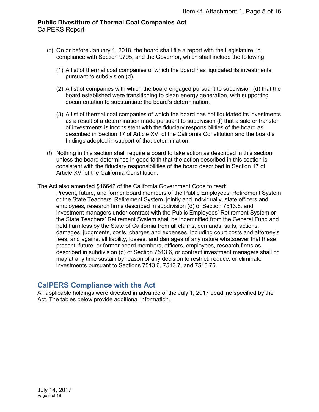- (e) On or before January 1, 2018, the board shall file a report with the Legislature, in compliance with Section 9795, and the Governor, which shall include the following:
	- (1) A list of thermal coal companies of which the board has liquidated its investments pursuant to subdivision (d).
	- (2) A list of companies with which the board engaged pursuant to subdivision (d) that the board established were transitioning to clean energy generation, with supporting documentation to substantiate the board's determination.
	- (3) A list of thermal coal companies of which the board has not liquidated its investments as a result of a determination made pursuant to subdivision (f) that a sale or transfer of investments is inconsistent with the fiduciary responsibilities of the board as described in Section 17 of Article XVI of the California Constitution and the board's findings adopted in support of that determination.
- (f) Nothing in this section shall require a board to take action as described in this section unless the board determines in good faith that the action described in this section is consistent with the fiduciary responsibilities of the board described in Section 17 of Article XVI of the California Constitution.

The Act also amended §16642 of the California Government Code to read:

Present, future, and former board members of the Public Employees' Retirement System or the State Teachers' Retirement System, jointly and individually, state officers and employees, research firms described in subdivision (d) of Section 7513.6, and investment managers under contract with the Public Employees' Retirement System or the State Teachers' Retirement System shall be indemnified from the General Fund and held harmless by the State of California from all claims, demands, suits, actions, damages, judgments, costs, charges and expenses, including court costs and attorney's fees, and against all liability, losses, and damages of any nature whatsoever that these present, future, or former board members, officers, employees, research firms as described in subdivision (d) of Section 7513.6, or contract investment managers shall or may at any time sustain by reason of any decision to restrict, reduce, or eliminate investments pursuant to Sections 7513.6, 7513.7, and 7513.75. Item 4f, Attachment 1, Page 5 of 16<br>
CalPERS Report<br>
(c) On or before January 1, 2018, the board shall file a report with the Legislature, in<br>
complete with Section 3795, and the Governor, which the latter discolaring, it<br>

## <span id="page-4-0"></span>**CalPERS Compliance with the Act**

All applicable holdings were divested in advance of the July 1, 2017 deadline specified by the Act. The tables below provide additional information.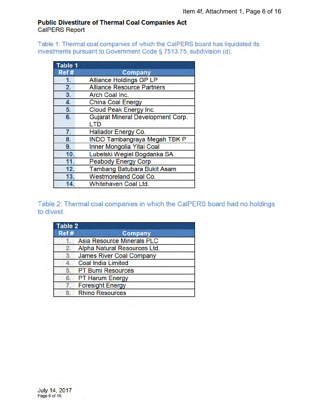## **Public Divestiture of Thermal Coal Companies Act CalPERS Report**

<span id="page-5-0"></span>Table 1: Thermal coal companies of which the CalPERS board has liquidated its investments pursuant to Government Code § 7513.75, subdivision (d).

| Table 1 |                                                 |  |  |
|---------|-------------------------------------------------|--|--|
| Ref#    | Company                                         |  |  |
| 1.      | <b>Alliance Holdings GP LP</b>                  |  |  |
| 2.      | <b>Alliance Resource Partners</b>               |  |  |
| 3.      | Arch Coal Inc.                                  |  |  |
| 4.      | <b>China Coal Energy</b>                        |  |  |
| 5.      | Cloud Peak Energy Inc.                          |  |  |
| 6.      | Gujarat Mineral Development Corp.<br><b>LTD</b> |  |  |
| 7.      | <b>Hallador Energy Co.</b>                      |  |  |
| 8.      | <b>INDO Tambangraya Megah TBK P</b>             |  |  |
| 9.      | Inner Mongolia Yitai Coal                       |  |  |
| 10.     | Lubelski Wegiel Bogdanka SA                     |  |  |
| 11.     | <b>Peabody Energy Corp</b>                      |  |  |
| 12.     | Tambang Batubara Bukit Asam                     |  |  |
| 13.     | <b>Westmoreland Coal Co.</b>                    |  |  |
| 14.     | Whitehaven Coal Ltd.                            |  |  |

<span id="page-5-1"></span>Table 2: Thermal coal companies in which the CalPERS board had no holdings to divest.

| Table 2 |                                   |  |
|---------|-----------------------------------|--|
| Ref#    | <b>Company</b>                    |  |
|         | <b>Asia Resource Minerals PLC</b> |  |
| 2.      | Alpha Natural Resources Ltd.      |  |
|         | 3. James River Coal Company       |  |
|         | <b>Coal India Limited</b>         |  |
|         | 5. PT Bumi Resources              |  |
| 6.      | <b>PT Harum Energy</b>            |  |
| 7.      | <b>Foresight Energy</b>           |  |
|         | <b>Rhino Resources</b>            |  |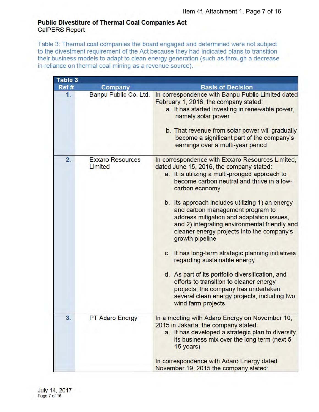## **Public Divestiture of Thermal Coal Companies Act CalPERS Report**

<span id="page-6-0"></span>Table 3: Thermal coal companies the board engaged and determined were not subject to the divestment requirement of the Act because they had indicated plans to transition their business models to adapt to clean energy generation (such as through a decrease in reliance on thermal coal mining as a revenue source).

| Table 3 |                                    |                                                                                                                                                                                                                                                                                                                                                                                                                                                                                                                                                                                                                                                                                                                                                                         |
|---------|------------------------------------|-------------------------------------------------------------------------------------------------------------------------------------------------------------------------------------------------------------------------------------------------------------------------------------------------------------------------------------------------------------------------------------------------------------------------------------------------------------------------------------------------------------------------------------------------------------------------------------------------------------------------------------------------------------------------------------------------------------------------------------------------------------------------|
| Ref #   | <b>Company</b>                     | <b>Basis of Decision</b>                                                                                                                                                                                                                                                                                                                                                                                                                                                                                                                                                                                                                                                                                                                                                |
| 1.      | Banpu Public Co. Ltd.              | In correspondence with Banpu Public Limited dated<br>February 1, 2016, the company stated:<br>a. It has started investing in renewable power,<br>namely solar power<br>b. That revenue from solar power will gradually<br>become a significant part of the company's<br>earnings over a multi-year period                                                                                                                                                                                                                                                                                                                                                                                                                                                               |
| 2.      | <b>Exxaro Resources</b><br>Limited | In correspondence with Exxaro Resources Limited,<br>dated June 15, 2016, the company stated:<br>a. It is utilizing a multi-pronged approach to<br>become carbon neutral and thrive in a low-<br>carbon economy<br>b. Its approach includes utilizing 1) an energy<br>and carbon management program to<br>address mitigation and adaptation issues,<br>and 2) integrating environmental friendly and<br>cleaner energy projects into the company's<br>growth pipeline<br>c. It has long-term strategic planning initiatives<br>regarding sustainable energy<br>d. As part of its portfolio diversification, and<br>efforts to transition to cleaner energy<br>projects, the company has undertaken<br>several clean energy projects, including two<br>wind farm projects |
| 3.      | <b>PT Adaro Energy</b>             | In a meeting with Adaro Energy on November 10,<br>2015 in Jakarta, the company stated:<br>a. It has developed a strategic plan to diversify<br>its business mix over the long term (next 5-<br>15 years)<br>In correspondence with Adaro Energy dated<br>November 19, 2015 the company stated:                                                                                                                                                                                                                                                                                                                                                                                                                                                                          |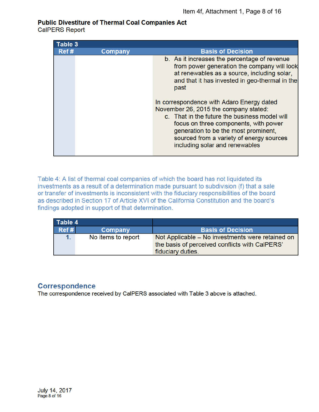## **Public Divestiture of Thermal Coal Companies Act**

**CalPERS Report** 

| Table 3 |                |                                                                                                                                                                                                                                                                                                                                                                                                                                                                                                            |
|---------|----------------|------------------------------------------------------------------------------------------------------------------------------------------------------------------------------------------------------------------------------------------------------------------------------------------------------------------------------------------------------------------------------------------------------------------------------------------------------------------------------------------------------------|
| Ref#    | <b>Company</b> | <b>Basis of Decision</b>                                                                                                                                                                                                                                                                                                                                                                                                                                                                                   |
|         |                | b. As it increases the percentage of revenue<br>from power generation the company will look<br>at renewables as a source, including solar,<br>and that it has invested in geo-thermal in the<br>past<br>In correspondence with Adaro Energy dated<br>November 26, 2015 the company stated:<br>c. That in the future the business model will<br>focus on three components, with power<br>generation to be the most prominent,<br>sourced from a variety of energy sources<br>including solar and renewables |
|         |                |                                                                                                                                                                                                                                                                                                                                                                                                                                                                                                            |

<span id="page-7-0"></span>Table 4: A list of thermal coal companies of which the board has not liquidated its investments as a result of a determination made pursuant to subdivision (f) that a sale or transfer of investments is inconsistent with the fiduciary responsibilities of the board as described in Section 17 of Article XVI of the California Constitution and the board's findings adopted in support of that determination.

| Table 4 |                    |                                                                                                                         |
|---------|--------------------|-------------------------------------------------------------------------------------------------------------------------|
| Ref#    | Company            | <b>Basis of Decision</b>                                                                                                |
|         | No items to report | Not Applicable – No investments were retained on<br>the basis of perceived conflicts with CalPERS'<br>fiduciary duties. |

## <span id="page-7-1"></span>**Correspondence**

The correspondence received by CalPERS associated with Table 3 above is attached.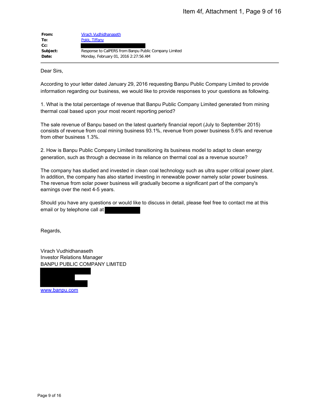| From:    | Virach Vudhidhanaseth                                 |
|----------|-------------------------------------------------------|
| To:      | Pokk, Tiffany                                         |
| $Cc$ :   |                                                       |
| Subject: | Response to CalPERS from Banpu Public Company Limited |
| Date:    | Monday, February 01, 2016 2:27:56 AM                  |

Dear Sirs,

According to your letter dated January 29, 2016 requesting Banpu Public Company Limited to provide information regarding our business, we would like to provide responses to your questions as following.

1. What is the total percentage of revenue that Banpu Public Company Limited generated from mining thermal coal based upon your most recent reporting period?

The sale revenue of Banpu based on the latest quarterly financial report (July to September 2015) consists of revenue from coal mining business 93.1%, revenue from power business 5.6% and revenue from other business 1.3%.

2. How is Banpu Public Company Limited transitioning its business model to adapt to clean energy generation, such as through a decrease in its reliance on thermal coal as a revenue source?

The company has studied and invested in clean coal technology such as ultra super critical power plant. In addition, the company has also started investing in renewable power namely solar power business. The revenue from solar power business will gradually become a significant part of the company's earnings over the next 4-5 years. From<br>
From the state of the state of the state of the state of the state of the state of the state of the state of the state of the state of the state of the state of the state of the state of the state of the state of the

Should you have any questions or would like to discuss in detail, please feel free to contact me at this email or by telephone call at

Regards,

Virach Vudhidhanaseth Investor Relations Manager BANPU PUBLIC COMPANY LIMITED

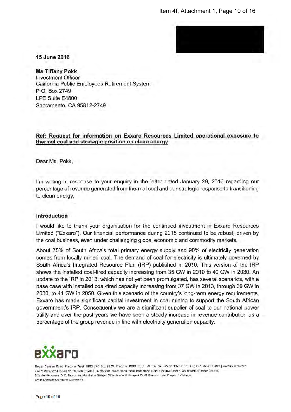

15 June 2016

**Ms Tiffany Pokk Investment Officer** California Public Employees Retirement System P.O. Box 2749 LPE Suite F4800 Sacramento, CA 95812-2749

#### Ref: Request for information on Exxaro Resources Limited operational exposure to thermal coal and strategic position on clean energy

Dear Ms. Pokk.

I'm writing in response to your enguiry in the letter dated January 29, 2016 regarding our percentage of revenue generated from thermal coal and our strategic response to transitioning to clean energy,

#### **Introduction**

I would like to thank your organisation for the continued investment in Exxaro Resources Limited ("Exxaro"). Our financial performance during 2015 continued to be robust, driven by the coal business, even under challenging global economic and commodity markets.

About 75% of South Africa's total primary energy supply and 90% of electricity generation comes from locally mined coal. The demand of coal for electricity is ultimately governed by South Africa's Integrated Resource Plan (IRP) published in 2010. This version of the IRP shows the installed coal-fired capacity increasing from 35 GW in 2010 to 40 GW in 2030. An update to the IRP in 2013, which has not yet been promulgated, has several scenarios, with a base case with installed coal-fired capacity increasing from 37 GW in 2013, through 39 GW in 2030, to 41 GW in 2050. Given this scenario of the country's long-term energy requirements, Exxaro has made significant capital investment in coal mining to support the South African government's IRP. Consequently we are a significant supplier of coal to our national power utility and over the past years we have seen a steady increase in revenue contribution as a percentage of the group revenue in line with electricity generation capacity.



Roger Dyason Road Pretoria West 0183 | PO Box 9229 Pretoria 0001 South Africa | Tel +27 12 307 5000 | Fax +27 86 201 6309 | www.exxaro.com Exxaro Resources Ltd. Reg No 2000/011076/06 | Directors: Dr D Konar (Chairman) MDM Mgojo (Chiel Executive Officer) WA de Klerk (Finance Director) S Dakile-Hiongwane Dr CJ Fauconnier MW Hialila 5 Mayet VZ Mntambo V Nkonyeni Dr MF Randera J van Rooyen D Zihlangu Group Company Secretary: CH Wessels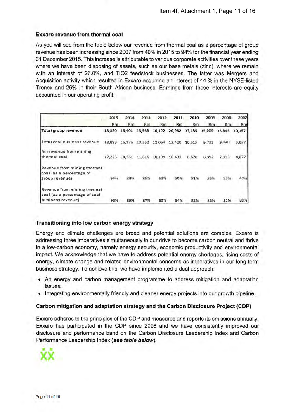### Exxaro revenue from thermal coal

As you will see from the table below our revenue from thermal coal as a percentage of group revenue has been increasing since 2007 from 40% in 2015 to 94% for the financial year ending 31 December 2015. This increase is attributable to various corporate activities over these vears where we have been disposing of assets, such as our base metals (zinc), where we remain with an interest of 26.0%, and TiO2 feedstock businesses. The latter was Mergers and Acquisition activity which resulted in Exxaro acquiring an interest of 44 % in the NYSE-listed Tronox and 26% in their South African business. Earnings from these interests are equity accounted in our operating profit.

|                               | 2015   | 2014   | 2013   | 2012   | 2011   | 2010   | 2009           | 2008           | 2007       |
|-------------------------------|--------|--------|--------|--------|--------|--------|----------------|----------------|------------|
|                               | Rm     | Rm     | Rm     | Rm     | Rm     | Rm     | R <sub>m</sub> | R <sub>m</sub> | Rm         |
| Total group revenue           | 18,330 | 16,401 | 13,568 | 16,122 | 20,962 | 17,155 | 15,009         | 13,843         | 10,157     |
| Total coal business revenue   | 18,093 | 16,176 | 13,362 | 12,064 | 12,420 | 10,515 | 9.731          | 9,040          | 5,087      |
| Rm revenue from mining        |        |        |        |        |        |        |                |                |            |
| thermal coal                  | 17,225 | 14,361 | 11,616 | 10,199 | 10,493 | 8,670  | 8,392          | 7,333          | 4,077      |
| Revenue from mining thermal   |        |        |        |        |        |        |                |                |            |
| coal (as a percentage of      |        |        |        |        |        |        |                |                |            |
| group revenue)                |        | 8.8%   | 86%    | 63%    | 50%    | 51%    | 56%            | 53%            | 40%        |
| Revenue from mining thermal   |        |        |        |        |        |        |                |                |            |
| coal (as a percentage of coal |        |        |        |        |        |        |                |                |            |
| business revenue)             | 95%    | 89%    | 87%    | 85%    | 84%    | 82%    | 86%            | 81%            | <b>BD%</b> |

#### Transitioning into low carbon energy strategy

Energy and climate challenges are broad and potential solutions are complex. Exxaro is addressing three imperatives simultaneously in our drive to become carbon neutral and thrive in a low-carbon economy, namely energy security, economic productivity and environmental impact. We acknowledge that we have to address potential energy shortages, rising costs of energy, climate change and related environmental concerns as imperatives in our long-term business strategy. To achieve this, we have implemented a dual approach:

- An energy and carbon management programme to address mitigation and adaptation issues:
- Integrating environmentally friendly and cleaner energy projects into our growth pipeline.

#### Carbon mitigation and adaptation strategy and the Carbon Disclosure Project (CDP)

Exxaro adheres to the principles of the CDP and measures and reports its emissions annually. Exxaro has participated in the CDP since 2008 and we have consistently improved our disclosure and performance band on the Carbon Disclosure Leadership Index and Carbon Performance Leadership Index (see table below).

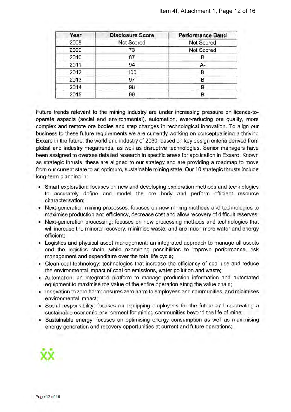| Year | <b>Disclosure Score</b> | <b>Performance Band</b> |
|------|-------------------------|-------------------------|
| 2008 | Not Scored              | Not Scored              |
| 2009 | 73                      | Not Scored              |
| 2010 | 87                      | в                       |
| 2011 | 94                      | A-                      |
| 2012 | 100                     | в                       |
| 2013 | 97                      | В                       |
| 2014 | 98                      | в                       |
| 2015 | 99                      | в                       |

Future trends relevant to the mining industry are under increasing pressure on licence-tooperate aspects (social and environmental), automation, ever-reducing ore quality, more complex and remote ore bodies and step changes in technological innovation. To align our business to these future requirements we are currently working on conceptualising a thriving Exxaro in the future, the world and industry of 2030, based on key design criteria derived from global and industry megatrends, as well as disruptive technologies. Senior managers have been assigned to oversee detailed research in specific areas for application in Exxaro. Known as strategic thrusts, these are aligned to our strategy and are providing a roadmap to move from our current state to an optimurn, sustainable mining state. Our 10 strategic thrusts include long-term planning in:

- Smart exploration: focuses on new and developing exploration methods and technologies to accurately define and model the ore body and perform efficient resource characterisation;
- Next-generation mining processes: focuses on new mining methods and technologies to maximise production and efficiency, decrease cost and allow recovery of difficult reserves;
- Next-generation processing: focuses on new processing methods and technologies that will increase the mineral recovery, minimise waste, and are much more water and energy efficient:
- Logistics and physical asset management: an integrated approach to manage all assets and the logistics chain, while examining possibilities to improve performance, risk management and expenditure over the total life cycle;
- Clean-coal technology: technologies that increase the efficiency of coal use and reduce the environmental impact of coal on emissions, water pollution and waste;
- Automation: an integrated platform to manage production information and automated equipment to maximise the value of the entire operation along the value chain;
- . Innovation to zero harm: ensures zero harm to employees and communities, and minimises environmental impact;
- Social responsibility: focuses on equipping employees for the future and co-creating a sustainable economic environment for mining communities beyond the life of mine;
- Sustainable energy: focuses on optimising energy consumption as well as maximising energy generation and recovery opportunities at current and future operations;

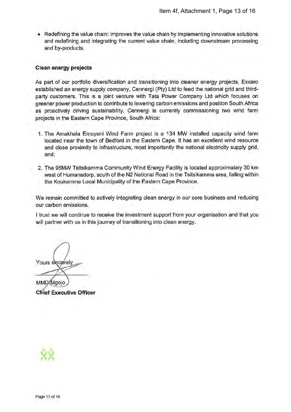. Redefining the value chain: improves the value chain by implementing innovative solutions and redefining and integrating the current value chain, including downstream processing and by-products.

### **Clean energy projects**

As part of our portfolio diversification and transitioning into cleaner energy projects, Exxaro established an energy supply company, Cennergi (Pty) Ltd to feed the national grid and thirdparty customers. This is a joint venture with Tata Power Company Ltd which focuses on greener power production to contribute to lowering carbon emissions and position South Africa as proactively driving sustainability. Cennergi is currently commissioning two wind farm projects in the Eastern Cape Province, South Africa:

- 1. The Amakhala Emoveni Wind Farm project is a 134 MW installed capacity wind farm located near the town of Bedford in the Eastern Cape. It has an excellent wind resource and close proximity to infrastructure, most importantly the national electricity supply grid, and:
- 2. The 95MW Tsitsikamma Community Wind Energy Facility is located approximately 30 km west of Humansdorp, south of the N2 National Road in the Tsitsikamma area, falling within the Koukamma Local Municipality of the Eastern Cape Province.

We remain committed to actively integrating clean energy in our core business and reducing our carbon emissions.

I trust we will continue to receive the investment support from your organisation and that you will partner with us in this journey of transitioning into clean energy.

Yours sincerely

**MMD**Mgojo **Chief Executive Officer** 

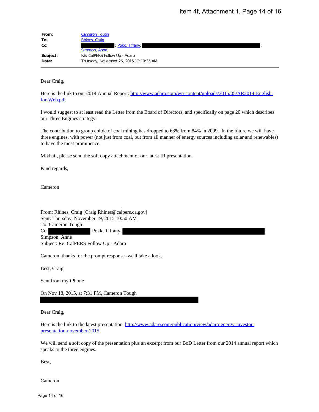| From:                                        | <b>Cameron Tough</b>                                                                                                                                                                                                                    |
|----------------------------------------------|-----------------------------------------------------------------------------------------------------------------------------------------------------------------------------------------------------------------------------------------|
| To:<br>Cc:                                   | Rhines, Craig<br>Pokk, Tiffany;                                                                                                                                                                                                         |
|                                              | Simpson, Anne                                                                                                                                                                                                                           |
| Subject:<br>Date:                            | RE: CalPERS Follow Up - Adaro<br>Thursday, November 26, 2015 12:10:35 AM                                                                                                                                                                |
| Dear Craig,                                  |                                                                                                                                                                                                                                         |
| for-Web.pdf                                  | Here is the link to our 2014 Annual Report: http://www.adaro.com/wp-content/uploads/2015/05/AR2014-English-                                                                                                                             |
| our Three Engines strategy.                  | I would suggest to at least read the Letter from the Board of Directors, and specifically on page 20 which describes                                                                                                                    |
| to have the most prominence.                 | The contribution to group ebitda of coal mining has dropped to 63% from 84% in 2009. In the future we will have<br>three engines, with power (not just from coal, but from all manner of energy sources including solar and renewables) |
|                                              | Mikhail, please send the soft copy attachment of our latest IR presentation.                                                                                                                                                            |
| Kind regards,                                |                                                                                                                                                                                                                                         |
| Cameron                                      |                                                                                                                                                                                                                                         |
| To: Cameron Tough<br>$Cc$ :<br>Simpson, Anne | From: Rhines, Craig [Craig.Rhines@calpers.ca.gov]<br>Sent: Thursday, November 19, 2015 10:50 AM<br>Pokk, Tiffany;<br>Subject: Re: CalPERS Follow Up - Adaro                                                                             |
|                                              | Cameron, thanks for the prompt response -we'll take a look.                                                                                                                                                                             |
| Best, Craig                                  |                                                                                                                                                                                                                                         |
| Sent from my iPhone                          |                                                                                                                                                                                                                                         |
|                                              | On Nov 18, 2015, at 7:31 PM, Cameron Tough                                                                                                                                                                                              |
| Dear Craig,                                  |                                                                                                                                                                                                                                         |
| presentation-november-2015                   | Here is the link to the latest presentation http://www.adaro.com/publication/view/adaro-energy-investor-                                                                                                                                |
| speaks to the three engines.                 | We will send a soft copy of the presentation plus an excerpt from our BoD Letter from our 2014 annual report which                                                                                                                      |
|                                              |                                                                                                                                                                                                                                         |
| Best,                                        |                                                                                                                                                                                                                                         |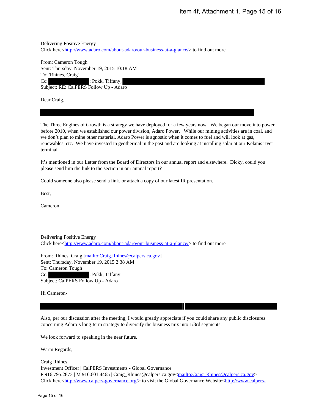Delivering Positive Energy Click here<http://www.adaro.com/about-adaro/our-business-at-a-glance/> to find out more

From: Cameron Tough Sent: Thursday, November 19, 2015 10:18 AM To: 'Rhines, Craig' Cc:  $\qquad \qquad$  ; Pokk, Tiffany; Subject: RE: CalPERS Follow Up - Adaro

Dear Craig,

The Three Engines of Growth is a strategy we have deployed for a few years now. We began our move into power before 2010, when we established our power division, Adaro Power. While our mining activities are in coal, and we don't plan to mine other material, Adaro Power is agnostic when it comes to fuel and will look at gas, renewables, etc. We have invested in geothermal in the past and are looking at installing solar at our Kelanis river terminal. Henri 4f, Attachment 1, Page 15 of 16<br>
Delivering Deckine European and the system interior and a gluency to find our move<br>
Theorem Touring Townshire 19, 2015 and 16 Km and the system of the system of the system of the<br>
Yes

It's mentioned in our Letter from the Board of Directors in our annual report and elsewhere. Dicky, could you please send him the link to the section in our annual report?

Could someone also please send a link, or attach a copy of our latest IR presentation.

Best,

Cameron

Delivering Positive Energy Click here<http://www.adaro.com/about-adaro/our-business-at-a-glance/> to find out more

From: Rhines, Craig [mailto:Craig.Rhines@calpers.ca.gov] Sent: Thursday, November 19, 2015 2:38 AM To: Cameron Tough Cc:  $; Pokk, Tiffany$ Subject: CalPERS Follow Up - Adaro

Hi Cameron-

Also, per our discussion after the meeting, I would greatly appreciate if you could share any public disclosures concerning Adaro's long-term strategy to diversify the business mix into 1/3rd segments.

We look forward to speaking in the near future.

Warm Regards,

Craig Rhines Investment Officer | CalPERS Investments - Global Governance P 916.795.2873 | M 916.601.4465 | Craig\_Rhines@calpers.ca.gov<mailto:Craig\_Rhines@calpers.ca.gov> Click here<http://www.calpers-governance.org/> to visit the Global Governance Website<http://www.calpers